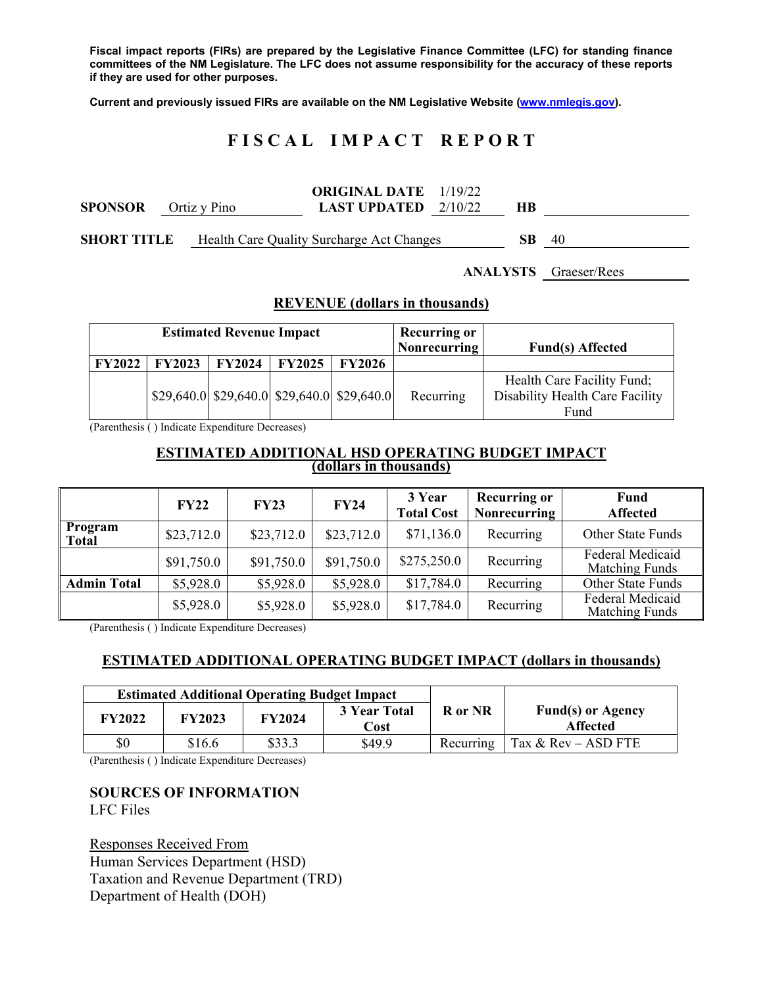**Fiscal impact reports (FIRs) are prepared by the Legislative Finance Committee (LFC) for standing finance committees of the NM Legislature. The LFC does not assume responsibility for the accuracy of these reports if they are used for other purposes.** 

**Current and previously issued FIRs are available on the NM Legislative Website (www.nmlegis.gov).** 

# **F I S C A L I M P A C T R E P O R T**

|                    |              | <b>ORIGINAL DATE</b> 1/19/22              |     |    |
|--------------------|--------------|-------------------------------------------|-----|----|
| <b>SPONSOR</b>     | Ortiz y Pino | <b>LAST UPDATED</b> $2/10/22$             | HВ  |    |
|                    |              |                                           |     |    |
| <b>SHORT TITLE</b> |              | Health Care Quality Surcharge Act Changes | SB. | 40 |

**ANALYSTS** Graeser/Rees

#### **REVENUE (dollars in thousands)**

| <b>Estimated Revenue Impact</b> |                          |  |                     | <b>Recurring or</b><br>Nonrecurring                                   | <b>Fund(s)</b> Affected |                                                                       |
|---------------------------------|--------------------------|--|---------------------|-----------------------------------------------------------------------|-------------------------|-----------------------------------------------------------------------|
|                                 | FY2022   FY2023   FY2024 |  | $FY2025$   $FY2026$ |                                                                       |                         |                                                                       |
|                                 |                          |  |                     | $\left  29,640.0 \right  29,640.0$ $\left  29,640.0 \right  29,640.0$ | Recurring               | Health Care Facility Fund;<br>Disability Health Care Facility<br>Fund |

(Parenthesis ( ) Indicate Expenditure Decreases)

# **ESTIMATED ADDITIONAL HSD OPERATING BUDGET IMPACT** (dollars in thousands)

|                         | <b>FY22</b> | <b>FY23</b> | FY24       | 3 Year<br><b>Total Cost</b> | <b>Recurring or</b><br><b>Nonrecurring</b> | Fund<br><b>Affected</b>                          |
|-------------------------|-------------|-------------|------------|-----------------------------|--------------------------------------------|--------------------------------------------------|
| Program<br><b>Total</b> | \$23,712.0  | \$23,712.0  | \$23,712.0 | \$71,136.0                  | Recurring                                  | Other State Funds                                |
|                         | \$91,750.0  | \$91,750.0  | \$91,750.0 | \$275,250.0                 | Recurring                                  | Federal Medicaid<br><b>Matching Funds</b>        |
| <b>Admin Total</b>      | \$5,928.0   | \$5,928.0   | \$5,928.0  | \$17,784.0                  | Recurring                                  | Other State Funds                                |
|                         | \$5,928.0   | \$5,928.0   | \$5,928.0  | \$17,784.0                  | Recurring                                  | <b>Federal Medicaid</b><br><b>Matching Funds</b> |

(Parenthesis ( ) Indicate Expenditure Decreases)

# **ESTIMATED ADDITIONAL OPERATING BUDGET IMPACT (dollars in thousands)**

|        |               | <b>Estimated Additional Operating Budget Impact</b> |                      |           |                                             |
|--------|---------------|-----------------------------------------------------|----------------------|-----------|---------------------------------------------|
| FY2022 | <b>FY2023</b> | <b>FY2024</b>                                       | 3 Year Total<br>Cost | R or NR   | <b>Fund(s)</b> or Agency<br><b>Affected</b> |
| \$0    | \$16.6        | \$33.3                                              | \$49.9               | Recurring | Tax & $Rev - ASD FTE$                       |

(Parenthesis ( ) Indicate Expenditure Decreases)

# **SOURCES OF INFORMATION**

LFC Files

Responses Received From Human Services Department (HSD) Taxation and Revenue Department (TRD) Department of Health (DOH)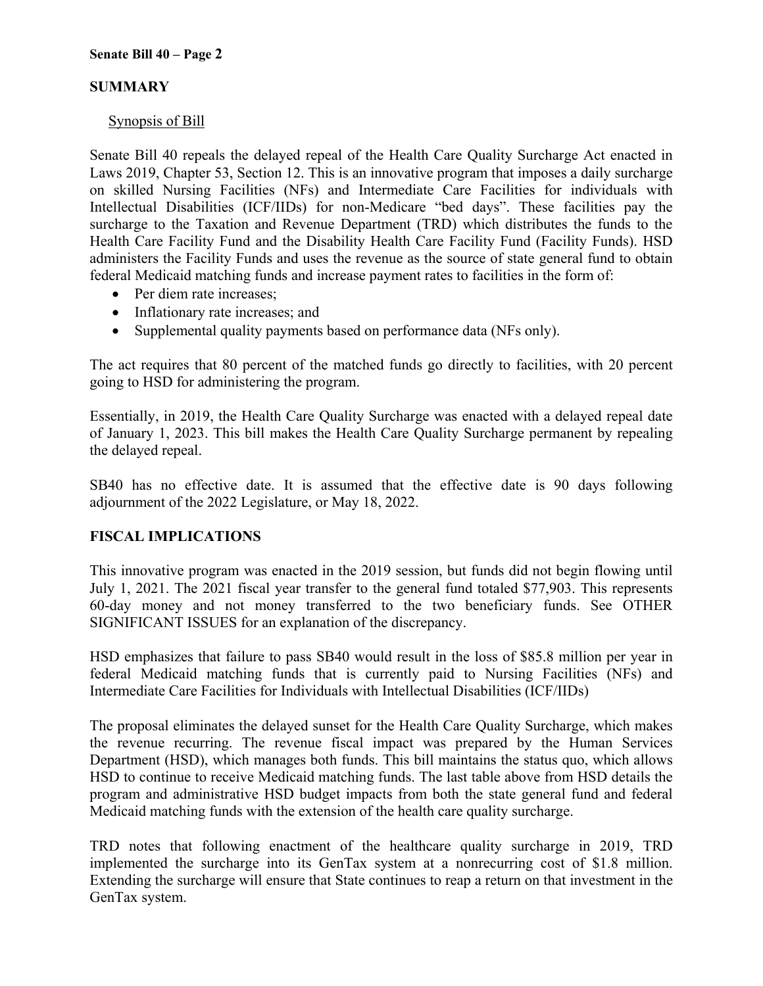# **SUMMARY**

#### Synopsis of Bill

Senate Bill 40 repeals the delayed repeal of the Health Care Quality Surcharge Act enacted in Laws 2019, Chapter 53, Section 12. This is an innovative program that imposes a daily surcharge on skilled Nursing Facilities (NFs) and Intermediate Care Facilities for individuals with Intellectual Disabilities (ICF/IIDs) for non-Medicare "bed days". These facilities pay the surcharge to the Taxation and Revenue Department (TRD) which distributes the funds to the Health Care Facility Fund and the Disability Health Care Facility Fund (Facility Funds). HSD administers the Facility Funds and uses the revenue as the source of state general fund to obtain federal Medicaid matching funds and increase payment rates to facilities in the form of:

- Per diem rate increases;
- Inflationary rate increases; and
- Supplemental quality payments based on performance data (NFs only).

The act requires that 80 percent of the matched funds go directly to facilities, with 20 percent going to HSD for administering the program.

Essentially, in 2019, the Health Care Quality Surcharge was enacted with a delayed repeal date of January 1, 2023. This bill makes the Health Care Quality Surcharge permanent by repealing the delayed repeal.

SB40 has no effective date. It is assumed that the effective date is 90 days following adjournment of the 2022 Legislature, or May 18, 2022.

# **FISCAL IMPLICATIONS**

This innovative program was enacted in the 2019 session, but funds did not begin flowing until July 1, 2021. The 2021 fiscal year transfer to the general fund totaled \$77,903. This represents 60-day money and not money transferred to the two beneficiary funds. See OTHER SIGNIFICANT ISSUES for an explanation of the discrepancy.

HSD emphasizes that failure to pass SB40 would result in the loss of \$85.8 million per year in federal Medicaid matching funds that is currently paid to Nursing Facilities (NFs) and Intermediate Care Facilities for Individuals with Intellectual Disabilities (ICF/IIDs)

The proposal eliminates the delayed sunset for the Health Care Quality Surcharge, which makes the revenue recurring. The revenue fiscal impact was prepared by the Human Services Department (HSD), which manages both funds. This bill maintains the status quo, which allows HSD to continue to receive Medicaid matching funds. The last table above from HSD details the program and administrative HSD budget impacts from both the state general fund and federal Medicaid matching funds with the extension of the health care quality surcharge.

TRD notes that following enactment of the healthcare quality surcharge in 2019, TRD implemented the surcharge into its GenTax system at a nonrecurring cost of \$1.8 million. Extending the surcharge will ensure that State continues to reap a return on that investment in the GenTax system.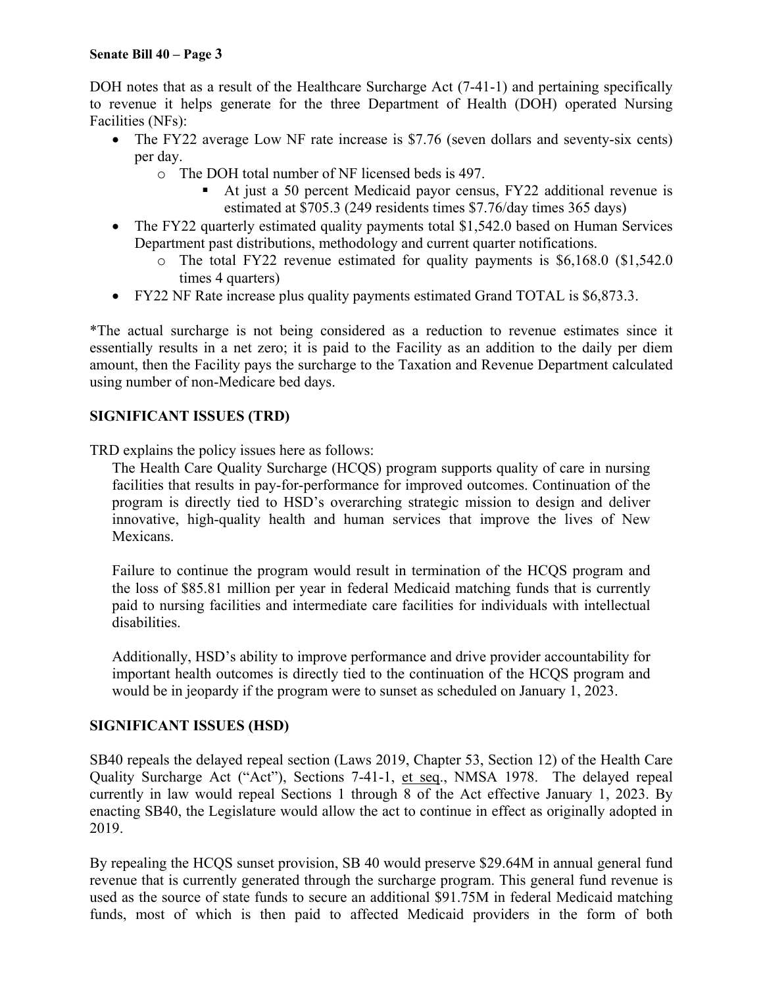DOH notes that as a result of the Healthcare Surcharge Act (7-41-1) and pertaining specifically to revenue it helps generate for the three Department of Health (DOH) operated Nursing Facilities (NFs):

- The FY22 average Low NF rate increase is \$7.76 (seven dollars and seventy-six cents) per day.
	- o The DOH total number of NF licensed beds is 497.
		- At just a 50 percent Medicaid payor census, FY22 additional revenue is estimated at \$705.3 (249 residents times \$7.76/day times 365 days)
- The FY22 quarterly estimated quality payments total \$1,542.0 based on Human Services Department past distributions, methodology and current quarter notifications.
	- o The total FY22 revenue estimated for quality payments is \$6,168.0 (\$1,542.0 times 4 quarters)
- FY22 NF Rate increase plus quality payments estimated Grand TOTAL is \$6,873.3.

\*The actual surcharge is not being considered as a reduction to revenue estimates since it essentially results in a net zero; it is paid to the Facility as an addition to the daily per diem amount, then the Facility pays the surcharge to the Taxation and Revenue Department calculated using number of non-Medicare bed days.

#### **SIGNIFICANT ISSUES (TRD)**

TRD explains the policy issues here as follows:

The Health Care Quality Surcharge (HCQS) program supports quality of care in nursing facilities that results in pay-for-performance for improved outcomes. Continuation of the program is directly tied to HSD's overarching strategic mission to design and deliver innovative, high-quality health and human services that improve the lives of New Mexicans.

Failure to continue the program would result in termination of the HCQS program and the loss of \$85.81 million per year in federal Medicaid matching funds that is currently paid to nursing facilities and intermediate care facilities for individuals with intellectual disabilities.

Additionally, HSD's ability to improve performance and drive provider accountability for important health outcomes is directly tied to the continuation of the HCQS program and would be in jeopardy if the program were to sunset as scheduled on January 1, 2023.

#### **SIGNIFICANT ISSUES (HSD)**

SB40 repeals the delayed repeal section (Laws 2019, Chapter 53, Section 12) of the Health Care Quality Surcharge Act ("Act"), Sections 7-41-1, et seq., NMSA 1978. The delayed repeal currently in law would repeal Sections 1 through 8 of the Act effective January 1, 2023. By enacting SB40, the Legislature would allow the act to continue in effect as originally adopted in 2019.

By repealing the HCQS sunset provision, SB 40 would preserve \$29.64M in annual general fund revenue that is currently generated through the surcharge program. This general fund revenue is used as the source of state funds to secure an additional \$91.75M in federal Medicaid matching funds, most of which is then paid to affected Medicaid providers in the form of both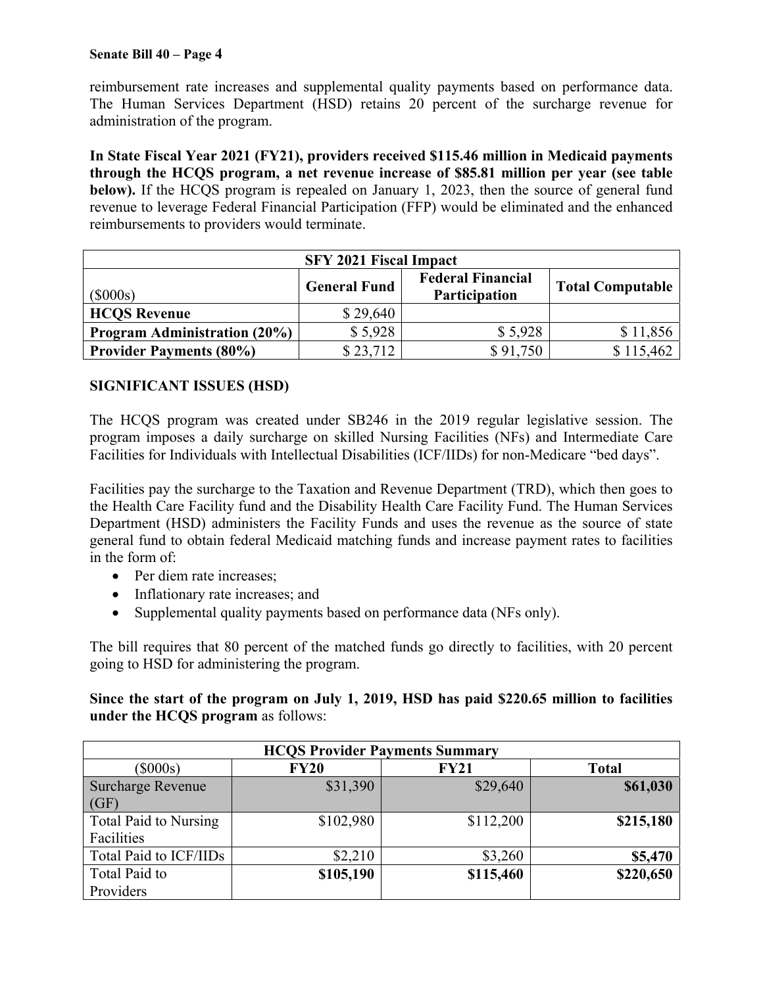reimbursement rate increases and supplemental quality payments based on performance data. The Human Services Department (HSD) retains 20 percent of the surcharge revenue for administration of the program.

**In State Fiscal Year 2021 (FY21), providers received \$115.46 million in Medicaid payments through the HCQS program, a net revenue increase of \$85.81 million per year (see table below).** If the HCQS program is repealed on January 1, 2023, then the source of general fund revenue to leverage Federal Financial Participation (FFP) would be eliminated and the enhanced reimbursements to providers would terminate.

| <b>SFY 2021 Fiscal Impact</b>                                                                             |          |          |           |  |  |
|-----------------------------------------------------------------------------------------------------------|----------|----------|-----------|--|--|
| <b>Federal Financial</b><br><b>General Fund</b><br><b>Total Computable</b><br>$(\$000s)$<br>Participation |          |          |           |  |  |
| <b>HCQS</b> Revenue                                                                                       | \$29,640 |          |           |  |  |
| <b>Program Administration (20%)</b>                                                                       | \$5,928  | \$5,928  | \$11,856  |  |  |
| <b>Provider Payments (80%)</b>                                                                            | \$23,712 | \$91,750 | \$115,462 |  |  |

# **SIGNIFICANT ISSUES (HSD)**

The HCQS program was created under SB246 in the 2019 regular legislative session. The program imposes a daily surcharge on skilled Nursing Facilities (NFs) and Intermediate Care Facilities for Individuals with Intellectual Disabilities (ICF/IIDs) for non-Medicare "bed days".

Facilities pay the surcharge to the Taxation and Revenue Department (TRD), which then goes to the Health Care Facility fund and the Disability Health Care Facility Fund. The Human Services Department (HSD) administers the Facility Funds and uses the revenue as the source of state general fund to obtain federal Medicaid matching funds and increase payment rates to facilities in the form of:

- Per diem rate increases:
- Inflationary rate increases; and
- Supplemental quality payments based on performance data (NFs only).

The bill requires that 80 percent of the matched funds go directly to facilities, with 20 percent going to HSD for administering the program.

**Since the start of the program on July 1, 2019, HSD has paid \$220.65 million to facilities under the HCQS program** as follows:

| <b>HCQS Provider Payments Summary</b> |             |             |              |  |  |  |
|---------------------------------------|-------------|-------------|--------------|--|--|--|
| $(\$000s)$                            | <b>FY20</b> | <b>FY21</b> | <b>Total</b> |  |  |  |
| <b>Surcharge Revenue</b>              | \$31,390    | \$29,640    | \$61,030     |  |  |  |
| (GF)                                  |             |             |              |  |  |  |
| <b>Total Paid to Nursing</b>          | \$102,980   | \$112,200   | \$215,180    |  |  |  |
| Facilities                            |             |             |              |  |  |  |
| Total Paid to ICF/IIDs                | \$2,210     | \$3,260     | \$5,470      |  |  |  |
| Total Paid to                         | \$105,190   | \$115,460   | \$220,650    |  |  |  |
| Providers                             |             |             |              |  |  |  |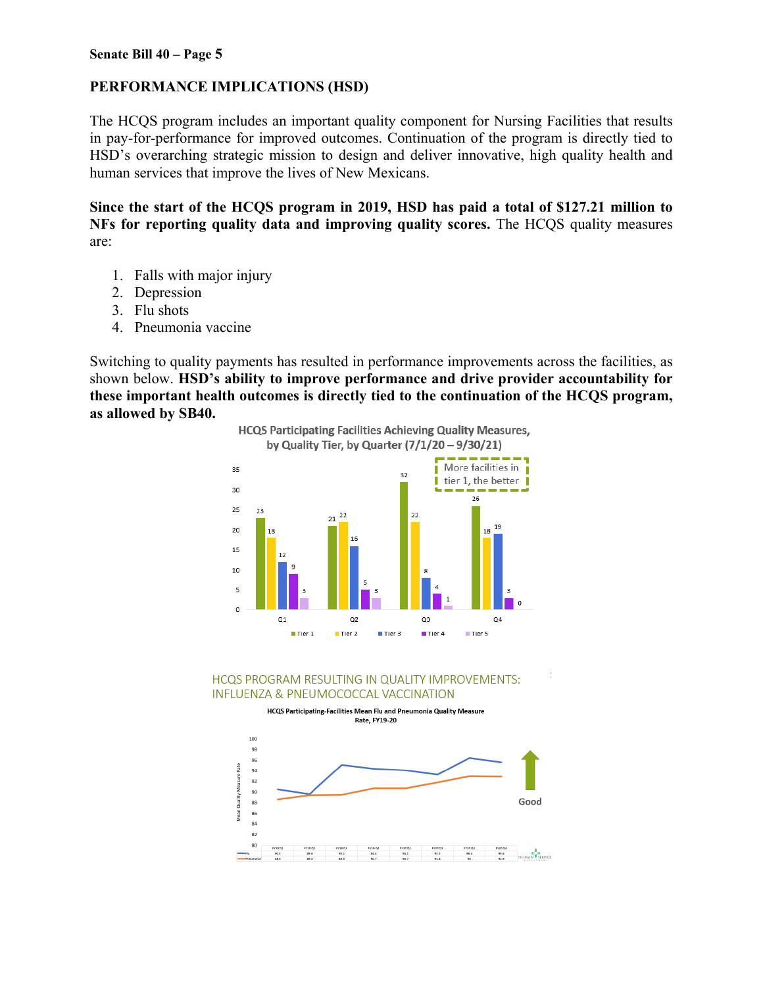# **PERFORMANCE IMPLICATIONS (HSD)**

The HCQS program includes an important quality component for Nursing Facilities that results in pay-for-performance for improved outcomes. Continuation of the program is directly tied to HSD's overarching strategic mission to design and deliver innovative, high quality health and human services that improve the lives of New Mexicans.

**Since the start of the HCQS program in 2019, HSD has paid a total of \$127.21 million to NFs for reporting quality data and improving quality scores.** The HCQS quality measures are:

- 1. Falls with major injury
- 2. Depression
- 3. Flu shots
- 4. Pneumonia vaccine

Switching to quality payments has resulted in performance improvements across the facilities, as shown below. **HSD's ability to improve performance and drive provider accountability for these important health outcomes is directly tied to the continuation of the HCQS program, as allowed by SB40.**



HCQS PROGRAM RESULTING IN QUALITY IMPROVEMENTS: INFLUENZA & PNEUMOCOCCAL VACCINATION

HCQS Participating-Facilities Mean Flu and Pneumonia Quality Measure Rate, FY19-20

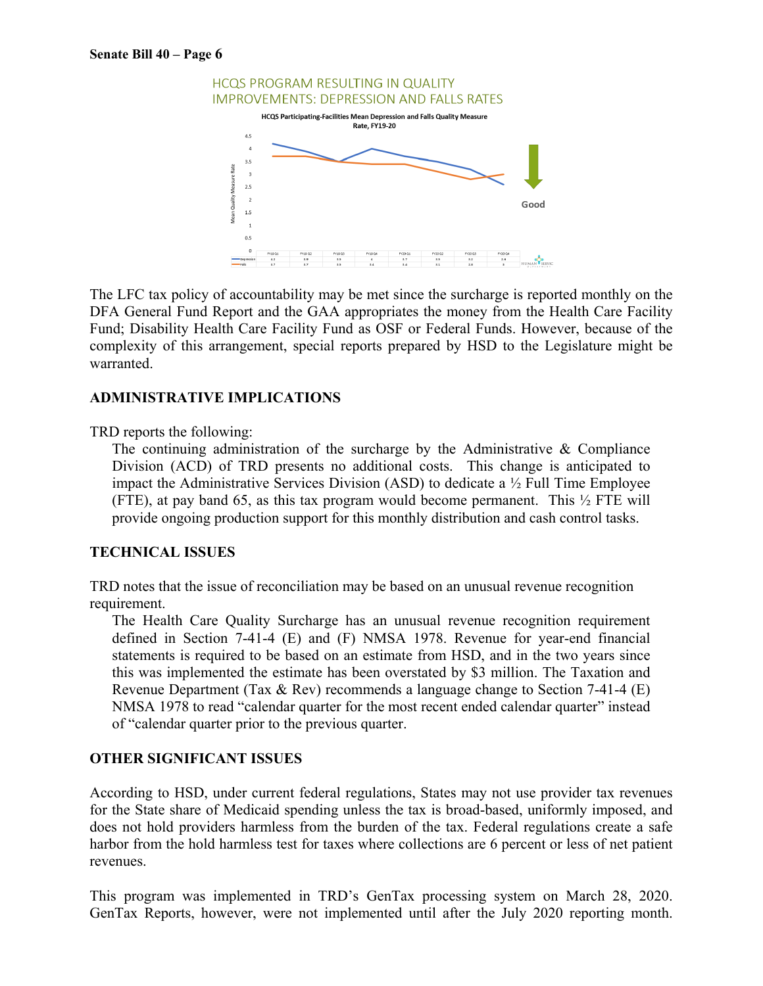

The LFC tax policy of accountability may be met since the surcharge is reported monthly on the DFA General Fund Report and the GAA appropriates the money from the Health Care Facility Fund; Disability Health Care Facility Fund as OSF or Federal Funds. However, because of the complexity of this arrangement, special reports prepared by HSD to the Legislature might be warranted.

#### **ADMINISTRATIVE IMPLICATIONS**

TRD reports the following:

The continuing administration of the surcharge by the Administrative & Compliance Division (ACD) of TRD presents no additional costs. This change is anticipated to impact the Administrative Services Division (ASD) to dedicate a ½ Full Time Employee (FTE), at pay band 65, as this tax program would become permanent. This  $\frac{1}{2}$  FTE will provide ongoing production support for this monthly distribution and cash control tasks.

#### **TECHNICAL ISSUES**

TRD notes that the issue of reconciliation may be based on an unusual revenue recognition requirement.

The Health Care Quality Surcharge has an unusual revenue recognition requirement defined in Section 7-41-4 (E) and (F) NMSA 1978. Revenue for year-end financial statements is required to be based on an estimate from HSD, and in the two years since this was implemented the estimate has been overstated by \$3 million. The Taxation and Revenue Department (Tax & Rev) recommends a language change to Section 7-41-4 (E) NMSA 1978 to read "calendar quarter for the most recent ended calendar quarter" instead of "calendar quarter prior to the previous quarter.

#### **OTHER SIGNIFICANT ISSUES**

According to HSD, under current federal regulations, States may not use provider tax revenues for the State share of Medicaid spending unless the tax is broad-based, uniformly imposed, and does not hold providers harmless from the burden of the tax. Federal regulations create a safe harbor from the hold harmless test for taxes where collections are 6 percent or less of net patient revenues.

This program was implemented in TRD's GenTax processing system on March 28, 2020. GenTax Reports, however, were not implemented until after the July 2020 reporting month.